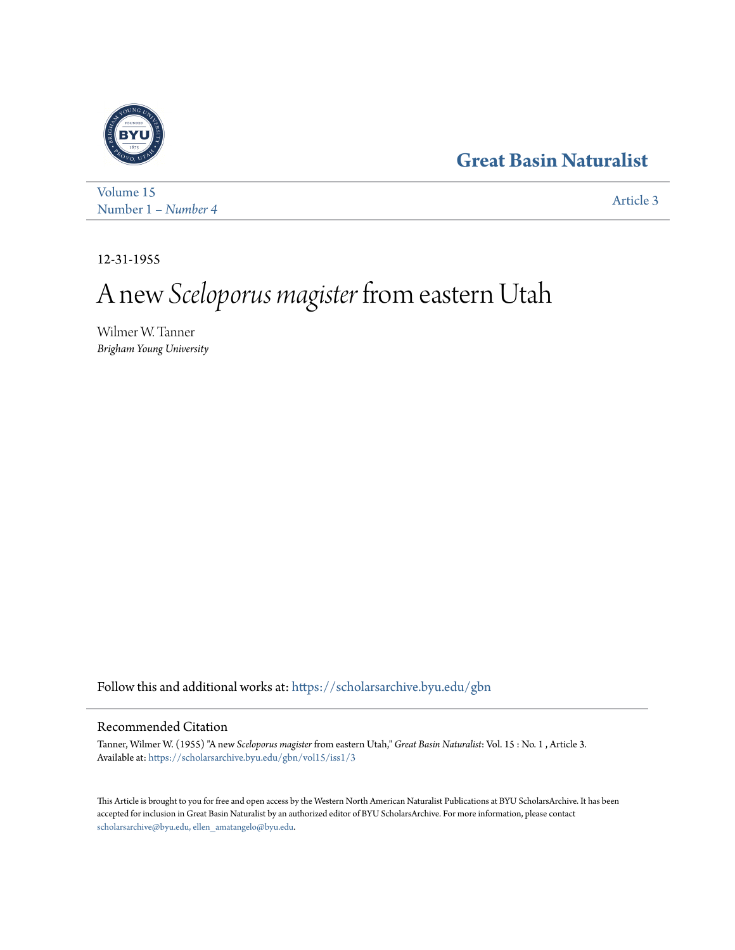## **[Great Basin Naturalist](https://scholarsarchive.byu.edu/gbn?utm_source=scholarsarchive.byu.edu%2Fgbn%2Fvol15%2Fiss1%2F3&utm_medium=PDF&utm_campaign=PDFCoverPages)**



[Volume 15](https://scholarsarchive.byu.edu/gbn/vol15?utm_source=scholarsarchive.byu.edu%2Fgbn%2Fvol15%2Fiss1%2F3&utm_medium=PDF&utm_campaign=PDFCoverPages) Number 1 – *Number 4* [Article 3](https://scholarsarchive.byu.edu/gbn/vol15/iss1/3?utm_source=scholarsarchive.byu.edu%2Fgbn%2Fvol15%2Fiss1%2F3&utm_medium=PDF&utm_campaign=PDFCoverPages)

12-31-1955

# A new *Sceloporus magister* from eastern Utah

Wilmer W. Tanner *Brigham Young University*

Follow this and additional works at: [https://scholarsarchive.byu.edu/gbn](https://scholarsarchive.byu.edu/gbn?utm_source=scholarsarchive.byu.edu%2Fgbn%2Fvol15%2Fiss1%2F3&utm_medium=PDF&utm_campaign=PDFCoverPages)

### Recommended Citation

Tanner, Wilmer W. (1955) "A new *Sceloporus magister* from eastern Utah," *Great Basin Naturalist*: Vol. 15 : No. 1 , Article 3. Available at: [https://scholarsarchive.byu.edu/gbn/vol15/iss1/3](https://scholarsarchive.byu.edu/gbn/vol15/iss1/3?utm_source=scholarsarchive.byu.edu%2Fgbn%2Fvol15%2Fiss1%2F3&utm_medium=PDF&utm_campaign=PDFCoverPages)

This Article is brought to you for free and open access by the Western North American Naturalist Publications at BYU ScholarsArchive. It has been accepted for inclusion in Great Basin Naturalist by an authorized editor of BYU ScholarsArchive. For more information, please contact [scholarsarchive@byu.edu, ellen\\_amatangelo@byu.edu.](mailto:scholarsarchive@byu.edu,%20ellen_amatangelo@byu.edu)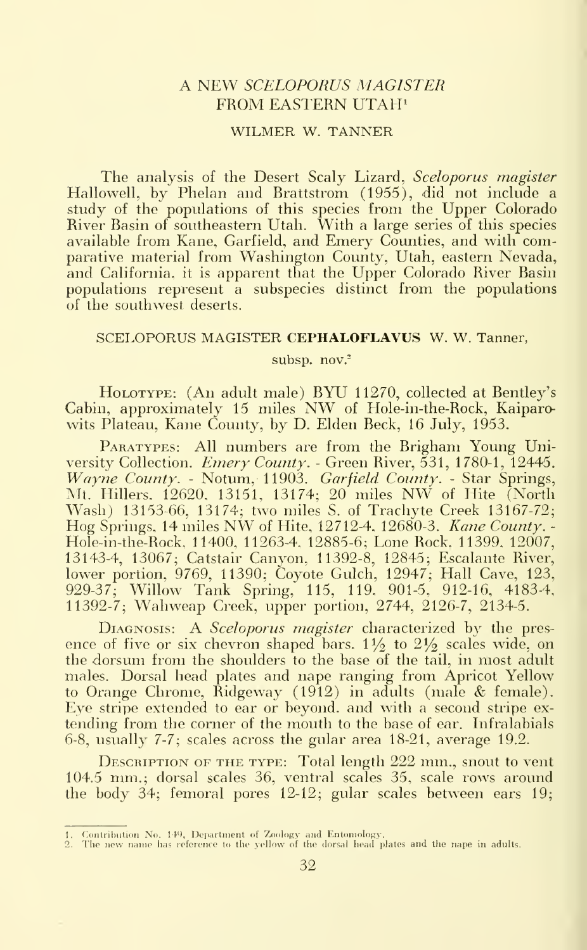#### A NEW SCELOPORUS MAGISTER FROM EASTERN UTAH<sup>1</sup>

#### WILMER W. TANNER

The analysis of the Desert Scaly Lizard, Sceloporus magister Hallowell, by Phelan and Brattstrom (1955), did not include a study of the populations of this species from the Upper Colorado River Basin of southeastern Utah. With a large series of this species available from Kane, Garfield, and Emery Counties, and with comparative material from Washington County, Utah, eastern Nevada, and California, it is apparent that the Upper Colorado River Basin populations represent a subspecies distinct from the populations of the southwest deserts.

#### SCELOPORUS MAGISTER CEPHALOFLAVUS W. W. Tanner,

subsp. nov.<sup>2</sup>

HoLOTYPE: (An adult male) BYU 11270, collected at Bentley's Cabin, approximately <sup>15</sup> miles NW of Hole-in-the-Rock, Kaiparowits Plateau, Kane County, by D. Elden Beck, 16 July, 1953.

PARATYPES: All numbers are from the Brigham Young University Collection. Emery County. - Green River, 531, 1780-1, 12445. Wayne County. - Notum, 11903. Garfield County. - Star Springs, Mt. Millers. 12620. 13151, 13174; <sup>20</sup> miles NW of Hite (North Wash) 13153-66, 13174; two miles S. of Trachyte Creek 13167-72; Hog Springs, <sup>14</sup> miles NW of Hite, 12712-4. 12680-3. Kane County. - Hole-in-the-Rock, 11400, 11263-4, 12885-6; Lone Rock. 11399. 12007, 13143-4, 13067; Catstair Canvon. 11392-8, 12845; Escalante River, lower portion, 9769, 11390; Coyote Gulch, 12947; Hall Cave, 123, 929-37; Willow Tank Spring, 115, 119, 901-5. 912-16, 4183-4, 11392-7; Wahweap Creek, upper portion, 2744, 2126-7, 2134-5.

DIAGNOSIS: A Sceloporus magister characterized by the presence of five or six chevron shaped bars.  $1\frac{1}{2}$  to  $2\frac{1}{2}$  scales wide, on the dorsum from the shoulders to the base of the tail, in most adult males. Dorsal head plates and nape ranging from Apricot Yellow to Orange Chrome, Ridgeway (1912) in adults (male & female). Eye stripe extended to ear or beyond, and with a second stripe extending from the corner of the mouth to the base of ear. Infralabials 6-8, usually 7-7; scales across the gular area 18-21, average 19.2.

DESCRIPTION OF THE TYPE: Total length 222 mm., snout to vent 104.5 mm.; dorsal scales 36, ventral scales 35, scale rows around the body 34; femoral pores 12-12; gular scales between ears 19;

<sup>1.</sup> Contribution No, 149, Department of Zoology and Entomology.<br>2. The new name has reference to the yellow of the dorsal head plates and the nape in adults.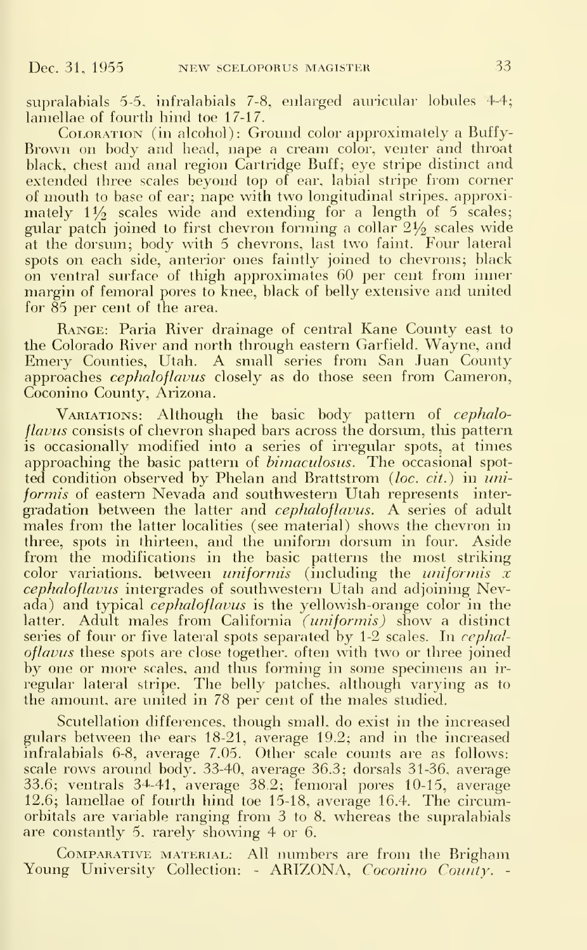supralabials 5-5, infralabials 7-8, enlarged auricular lobules 4-4; lamellae of fourth hind toe 17-17.

COLORATION (in alcohol): Ground color approximately a Buffy-Brown on body and head, nape a cream color, venter and throat black, chest and anal region Cartridge Buff; eye stripe distinct and extended three scales beyond top of ear, labial stripe from comer of mouth to base of ear; nape with two longitudinal stripes, approximately  $1\frac{1}{2}$  scales wide and extending for a length of 5 scales; gular patch joined to first chevron forming a collar  $2\frac{1}{2}$  scales wide at the dorsum; body with 5 chevrons, last two faint. Four lateral spots on each side, anterior ones faintly joined to chevrons; black on ventral surface of thigh approximates 60 per cent from inner margin of femoral pores to knee, black of belly extensive and united for 85 per cent of the area.

Range: Paria River drainage of central Kane County east to the Colorado River and north through eastern Garfield, Wayne, and Emery Counties, Utah. A small series from San Juan County approaches *cephaloflavus* closely as do those seen from Cameron, Coconino County, Arizona.

VARIATIONS: Although the basic body pattern of cephaloflavus consists of chevron shaped bars across the dorsum, this pattern is occasionally modified into a series of irregular spots, at times approaching the basic pattern of *bimaculosus*. The occasional spotted condition observed by Phelan and Brattstrom (*loc. cit.*) in *uni*formis of eastern Nevada and southwestern Utah represents intergradation between the latter and *cephaloflavus*. A series of adult males from the latter localities (see material) shows the chevron in three, spots in thirteen, and the uniform dorsum in four. Aside from the modifications in the basic patterns the most striking color variations, between *uniformis* (including the *uniformis*  $\tilde{x}$ cephaloflavus intergrades of southwestern Utah and adjoining Nevada) and typical *cephaloflavus* is the yellowish-orange color in the latter. Adult males from California (uniformis) show a distinct series of four or five lateral spots separated by  $1-2$  scales. In cephaloflavus these spots are close together, often with two or three joined by one or more scales, and thus forming in some specimens an ir regular lateral stripe. The belly patches, although varying as to the amount, are united in 78 per cent of the males studied.

Scutellation differences, though small, do exist in the increased gulars between the ears 18-21, average 19.2; and in the increased infralabials 6-8, average 7.05. Other scale counts are as follows: scale rows around body. 33-40, average 36.3; dorsals 31-36, average 33.6; ventrals 34^-41, average 38.2; femoral pores 10-15, average 12.6; lamellae of fourth hind toe 15-18, average 16.4. The circumorbitals are variable ranging from 3 to 8, whereas the supralabials are constantly 5, rarely showing 4 or 6.

COMPARATIVE MATERIAL: All numbers are from the Brigham Young University Collection: - ARIZONA, Coconino County. -